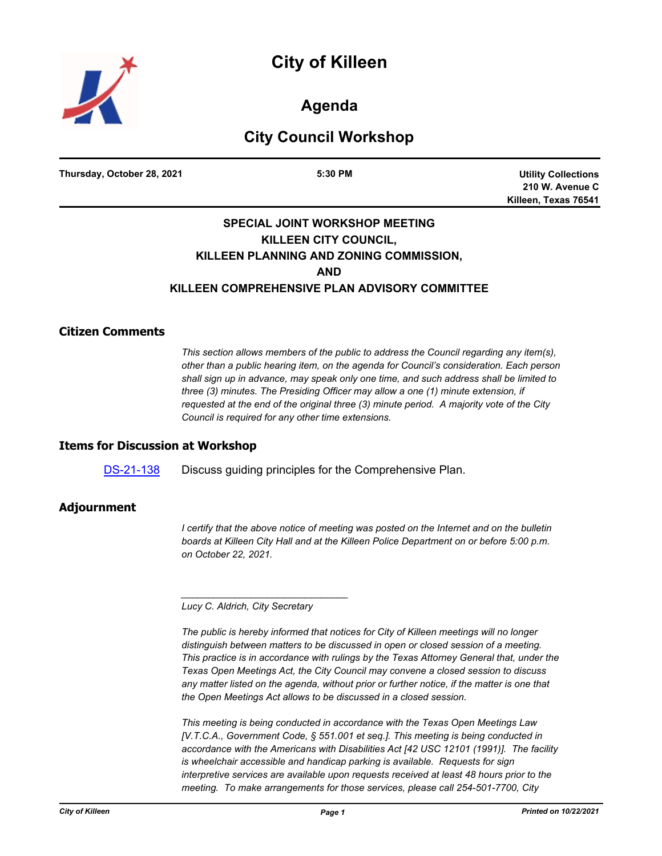# **City of Killeen**



**Agenda**

## **City Council Workshop**

**Thursday, October 28, 2021 5:30 PM**

**Utility Collections 210 W. Avenue C Killeen, Texas 76541**

### **SPECIAL JOINT WORKSHOP MEETING KILLEEN CITY COUNCIL, KILLEEN PLANNING AND ZONING COMMISSION, AND KILLEEN COMPREHENSIVE PLAN ADVISORY COMMITTEE**

#### **Citizen Comments**

*This section allows members of the public to address the Council regarding any item(s), other than a public hearing item, on the agenda for Council's consideration. Each person shall sign up in advance, may speak only one time, and such address shall be limited to three (3) minutes. The Presiding Officer may allow a one (1) minute extension, if requested at the end of the original three (3) minute period. A majority vote of the City Council is required for any other time extensions.*

#### **Items for Discussion at Workshop**

[DS-21-138](http://killeen.legistar.com/gateway.aspx?m=l&id=/matter.aspx?key=5749) Discuss guiding principles for the Comprehensive Plan.

#### **Adjournment**

*I certify that the above notice of meeting was posted on the Internet and on the bulletin boards at Killeen City Hall and at the Killeen Police Department on or before 5:00 p.m. on October 22, 2021.*

*Lucy C. Aldrich, City Secretary* 

*\_\_\_\_\_\_\_\_\_\_\_\_\_\_\_\_\_\_\_\_\_\_\_\_\_\_\_\_\_\_\_*

*The public is hereby informed that notices for City of Killeen meetings will no longer distinguish between matters to be discussed in open or closed session of a meeting. This practice is in accordance with rulings by the Texas Attorney General that, under the Texas Open Meetings Act, the City Council may convene a closed session to discuss any matter listed on the agenda, without prior or further notice, if the matter is one that the Open Meetings Act allows to be discussed in a closed session.*

*This meeting is being conducted in accordance with the Texas Open Meetings Law [V.T.C.A., Government Code, § 551.001 et seq.]. This meeting is being conducted in accordance with the Americans with Disabilities Act [42 USC 12101 (1991)]. The facility is wheelchair accessible and handicap parking is available. Requests for sign interpretive services are available upon requests received at least 48 hours prior to the meeting. To make arrangements for those services, please call 254-501-7700, City*